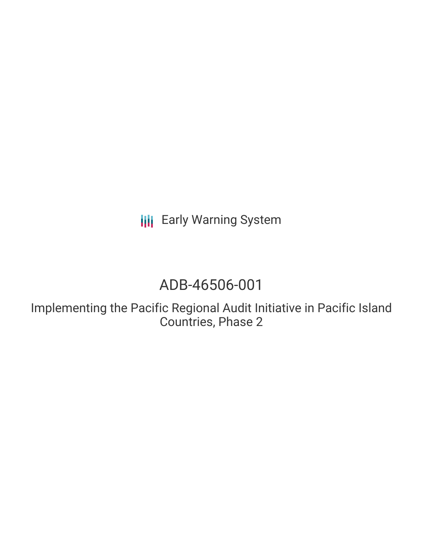**III** Early Warning System

# ADB-46506-001

Implementing the Pacific Regional Audit Initiative in Pacific Island Countries, Phase 2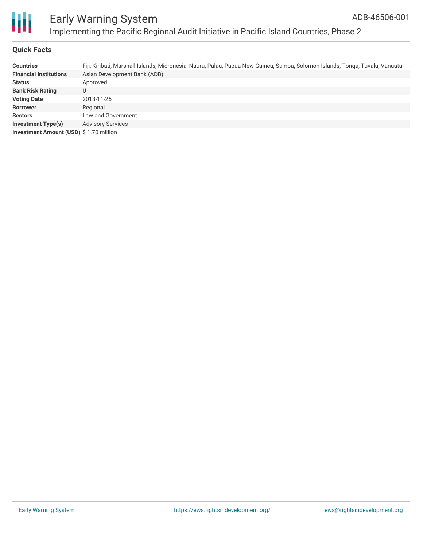

### **Quick Facts**

| <b>Countries</b>                       | Fiji, Kiribati, Marshall Islands, Micronesia, Nauru, Palau, Papua New Guinea, Samoa, Solomon Islands, Tonga, Tuvalu, Vanuatu |
|----------------------------------------|------------------------------------------------------------------------------------------------------------------------------|
| <b>Financial Institutions</b>          | Asian Development Bank (ADB)                                                                                                 |
| <b>Status</b>                          | Approved                                                                                                                     |
| <b>Bank Risk Rating</b>                | U                                                                                                                            |
| <b>Voting Date</b>                     | 2013-11-25                                                                                                                   |
| <b>Borrower</b>                        | Regional                                                                                                                     |
| <b>Sectors</b>                         | Law and Government                                                                                                           |
| <b>Investment Type(s)</b>              | <b>Advisory Services</b>                                                                                                     |
| Investment Amount (USD) \$1.70 million |                                                                                                                              |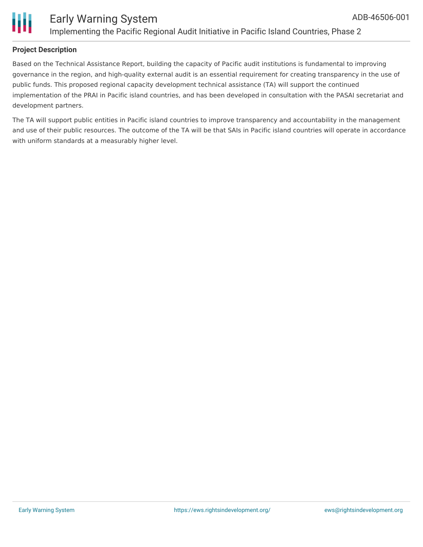

Based on the Technical Assistance Report, building the capacity of Pacific audit institutions is fundamental to improving governance in the region, and high-quality external audit is an essential requirement for creating transparency in the use of public funds. This proposed regional capacity development technical assistance (TA) will support the continued implementation of the PRAI in Pacific island countries, and has been developed in consultation with the PASAI secretariat and development partners.

The TA will support public entities in Pacific island countries to improve transparency and accountability in the management and use of their public resources. The outcome of the TA will be that SAIs in Pacific island countries will operate in accordance with uniform standards at a measurably higher level.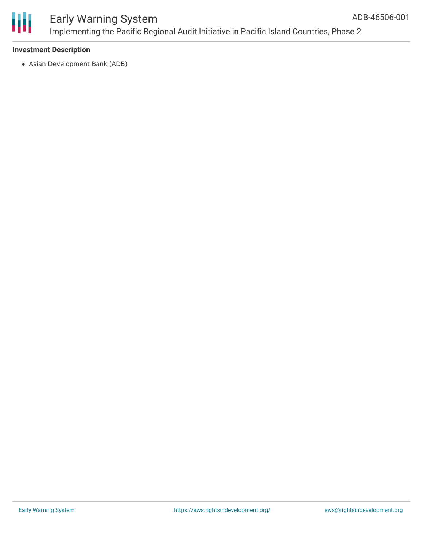

## Early Warning System Implementing the Pacific Regional Audit Initiative in Pacific Island Countries, Phase 2

### **Investment Description**

Asian Development Bank (ADB)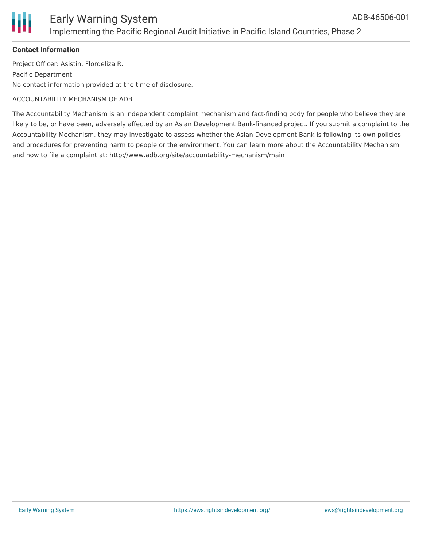

### Early Warning System Implementing the Pacific Regional Audit Initiative in Pacific Island Countries, Phase 2

### **Contact Information**

Project Officer: Asistin, Flordeliza R. Pacific Department No contact information provided at the time of disclosure.

#### ACCOUNTABILITY MECHANISM OF ADB

The Accountability Mechanism is an independent complaint mechanism and fact-finding body for people who believe they are likely to be, or have been, adversely affected by an Asian Development Bank-financed project. If you submit a complaint to the Accountability Mechanism, they may investigate to assess whether the Asian Development Bank is following its own policies and procedures for preventing harm to people or the environment. You can learn more about the Accountability Mechanism and how to file a complaint at: http://www.adb.org/site/accountability-mechanism/main